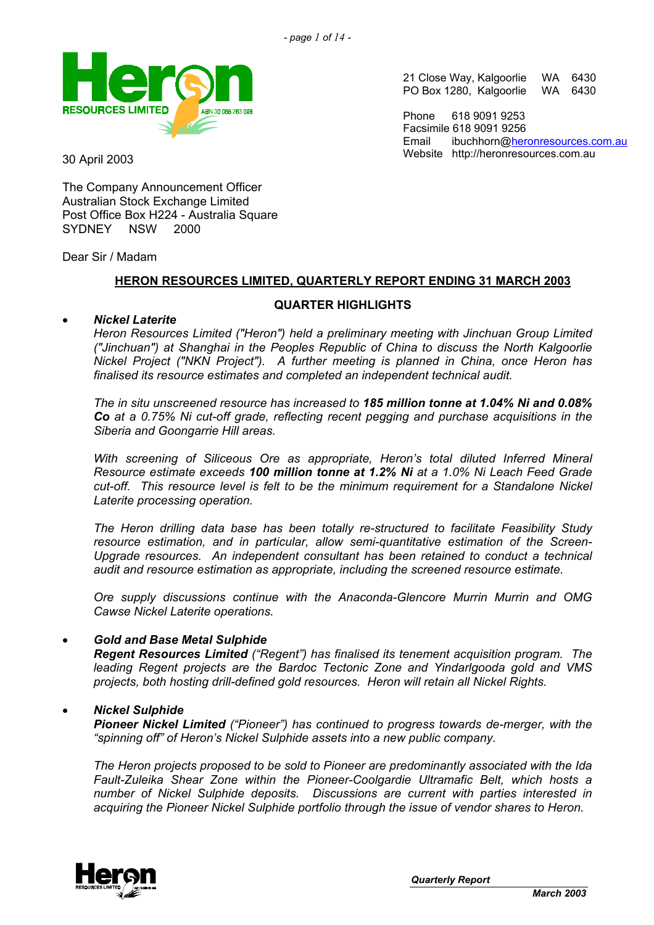

21 Close Way, Kalgoorlie WA 6430 PO Box 1280, Kalgoorlie WA 6430

Phone 618 9091 9253 Facsimile 618 9091 9256 Email ibuchhorn[@heronresources.com.au](mailto:heron@emerge.net.au) Website http://heronresources.com.au 30 April 2003

The Company Announcement Officer Australian Stock Exchange Limited Post Office Box H224 - Australia Square SYDNEY NSW 2000

Dear Sir / Madam

• *Nickel Laterite* 

## **HERON RESOURCES LIMITED, QUARTERLY REPORT ENDING 31 MARCH 2003**

# **QUARTER HIGHLIGHTS**

*Heron Resources Limited ("Heron") held a preliminary meeting with Jinchuan Group Limited ("Jinchuan") at Shanghai in the Peoples Republic of China to discuss the North Kalgoorlie Nickel Project ("NKN Project"). A further meeting is planned in China, once Heron has finalised its resource estimates and completed an independent technical audit.* 

*The in situ unscreened resource has increased to 185 million tonne at 1.04% Ni and 0.08% Co at a 0.75% Ni cut-off grade, reflecting recent pegging and purchase acquisitions in the Siberia and Goongarrie Hill areas.* 

*With screening of Siliceous Ore as appropriate, Heron's total diluted Inferred Mineral Resource estimate exceeds 100 million tonne at 1.2% Ni at a 1.0% Ni Leach Feed Grade cut-off. This resource level is felt to be the minimum requirement for a Standalone Nickel Laterite processing operation.* 

*The Heron drilling data base has been totally re-structured to facilitate Feasibility Study resource estimation, and in particular, allow semi-quantitative estimation of the Screen-Upgrade resources. An independent consultant has been retained to conduct a technical audit and resource estimation as appropriate, including the screened resource estimate.* 

*Ore supply discussions continue with the Anaconda-Glencore Murrin Murrin and OMG Cawse Nickel Laterite operations.* 

### • *Gold and Base Metal Sulphide*

*Regent Resources Limited ("Regent") has finalised its tenement acquisition program. The leading Regent projects are the Bardoc Tectonic Zone and Yindarlgooda gold and VMS projects, both hosting drill-defined gold resources. Heron will retain all Nickel Rights.* 

### • *Nickel Sulphide*

*Pioneer Nickel Limited ("Pioneer") has continued to progress towards de-merger, with the "spinning off" of Heron's Nickel Sulphide assets into a new public company.* 

*The Heron projects proposed to be sold to Pioneer are predominantly associated with the Ida Fault-Zuleika Shear Zone within the Pioneer-Coolgardie Ultramafic Belt, which hosts a number of Nickel Sulphide deposits. Discussions are current with parties interested in acquiring the Pioneer Nickel Sulphide portfolio through the issue of vendor shares to Heron.* 

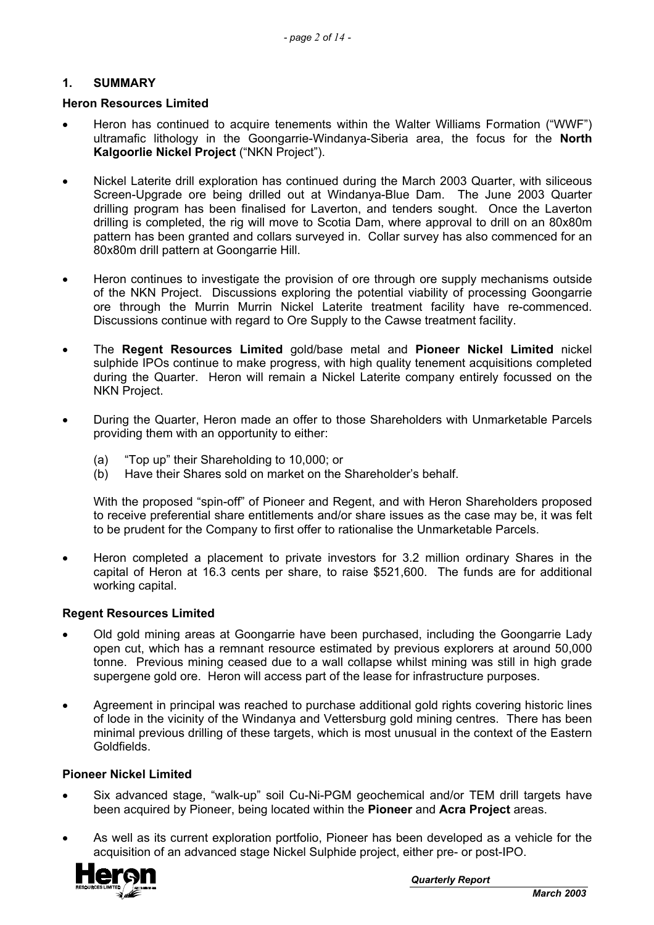## **1. SUMMARY**

#### **Heron Resources Limited**

- Heron has continued to acquire tenements within the Walter Williams Formation ("WWF") ultramafic lithology in the Goongarrie-Windanya-Siberia area, the focus for the **North Kalgoorlie Nickel Project** ("NKN Project").
- Nickel Laterite drill exploration has continued during the March 2003 Quarter, with siliceous Screen-Upgrade ore being drilled out at Windanya-Blue Dam. The June 2003 Quarter drilling program has been finalised for Laverton, and tenders sought. Once the Laverton drilling is completed, the rig will move to Scotia Dam, where approval to drill on an 80x80m pattern has been granted and collars surveyed in. Collar survey has also commenced for an 80x80m drill pattern at Goongarrie Hill.
- Heron continues to investigate the provision of ore through ore supply mechanisms outside of the NKN Project. Discussions exploring the potential viability of processing Goongarrie ore through the Murrin Murrin Nickel Laterite treatment facility have re-commenced. Discussions continue with regard to Ore Supply to the Cawse treatment facility.
- The **Regent Resources Limited** gold/base metal and **Pioneer Nickel Limited** nickel sulphide IPOs continue to make progress, with high quality tenement acquisitions completed during the Quarter. Heron will remain a Nickel Laterite company entirely focussed on the NKN Project.
- During the Quarter, Heron made an offer to those Shareholders with Unmarketable Parcels providing them with an opportunity to either:
	- (a) "Top up" their Shareholding to 10,000; or
	- (b) Have their Shares sold on market on the Shareholder's behalf.

With the proposed "spin-off" of Pioneer and Regent, and with Heron Shareholders proposed to receive preferential share entitlements and/or share issues as the case may be, it was felt to be prudent for the Company to first offer to rationalise the Unmarketable Parcels.

• Heron completed a placement to private investors for 3.2 million ordinary Shares in the capital of Heron at 16.3 cents per share, to raise \$521,600. The funds are for additional working capital.

#### **Regent Resources Limited**

- Old gold mining areas at Goongarrie have been purchased, including the Goongarrie Lady open cut, which has a remnant resource estimated by previous explorers at around 50,000 tonne. Previous mining ceased due to a wall collapse whilst mining was still in high grade supergene gold ore. Heron will access part of the lease for infrastructure purposes.
- Agreement in principal was reached to purchase additional gold rights covering historic lines of lode in the vicinity of the Windanya and Vettersburg gold mining centres. There has been minimal previous drilling of these targets, which is most unusual in the context of the Eastern Goldfields.

#### **Pioneer Nickel Limited**

- Six advanced stage, "walk-up" soil Cu-Ni-PGM geochemical and/or TEM drill targets have been acquired by Pioneer, being located within the **Pioneer** and **Acra Project** areas.
- As well as its current exploration portfolio, Pioneer has been developed as a vehicle for the acquisition of an advanced stage Nickel Sulphide project, either pre- or post-IPO.

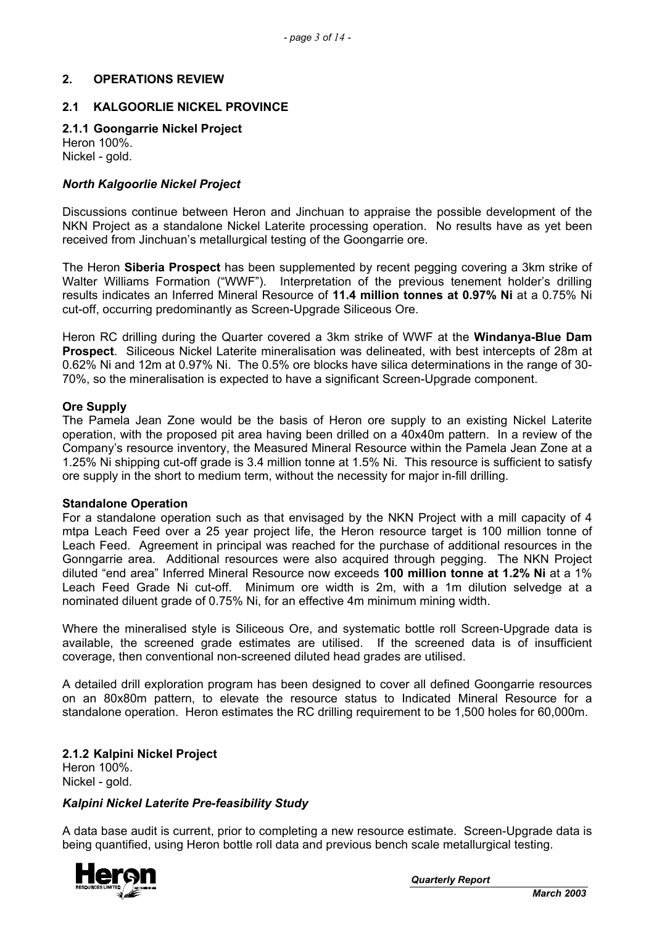## **2. OPERATIONS REVIEW**

### **2.1 KALGOORLIE NICKEL PROVINCE**

#### **2.1.1 Goongarrie Nickel Project**  Heron 100%.

Nickel - gold.

#### *North Kalgoorlie Nickel Project*

Discussions continue between Heron and Jinchuan to appraise the possible development of the NKN Project as a standalone Nickel Laterite processing operation. No results have as yet been received from Jinchuan's metallurgical testing of the Goongarrie ore.

The Heron **Siberia Prospect** has been supplemented by recent pegging covering a 3km strike of Walter Williams Formation ("WWF"). Interpretation of the previous tenement holder's drilling results indicates an Inferred Mineral Resource of **11.4 million tonnes at 0.97% Ni** at a 0.75% Ni cut-off, occurring predominantly as Screen-Upgrade Siliceous Ore.

Heron RC drilling during the Quarter covered a 3km strike of WWF at the **Windanya-Blue Dam Prospect**. Siliceous Nickel Laterite mineralisation was delineated, with best intercepts of 28m at 0.62% Ni and 12m at 0.97% Ni. The 0.5% ore blocks have silica determinations in the range of 30- 70%, so the mineralisation is expected to have a significant Screen-Upgrade component.

#### **Ore Supply**

The Pamela Jean Zone would be the basis of Heron ore supply to an existing Nickel Laterite operation, with the proposed pit area having been drilled on a 40x40m pattern. In a review of the Company's resource inventory, the Measured Mineral Resource within the Pamela Jean Zone at a 1.25% Ni shipping cut-off grade is 3.4 million tonne at 1.5% Ni. This resource is sufficient to satisfy ore supply in the short to medium term, without the necessity for major in-fill drilling.

#### **Standalone Operation**

For a standalone operation such as that envisaged by the NKN Project with a mill capacity of 4 mtpa Leach Feed over a 25 year project life, the Heron resource target is 100 million tonne of Leach Feed. Agreement in principal was reached for the purchase of additional resources in the Gonngarrie area. Additional resources were also acquired through pegging. The NKN Project diluted "end area" Inferred Mineral Resource now exceeds **100 million tonne at 1.2% Ni** at a 1% Leach Feed Grade Ni cut-off. Minimum ore width is 2m, with a 1m dilution selvedge at a nominated diluent grade of 0.75% Ni, for an effective 4m minimum mining width.

Where the mineralised style is Siliceous Ore, and systematic bottle roll Screen-Upgrade data is available, the screened grade estimates are utilised. If the screened data is of insufficient coverage, then conventional non-screened diluted head grades are utilised.

A detailed drill exploration program has been designed to cover all defined Goongarrie resources on an 80x80m pattern, to elevate the resource status to Indicated Mineral Resource for a standalone operation. Heron estimates the RC drilling requirement to be 1,500 holes for 60,000m.

**2.1.2 Kalpini Nickel Project**  Heron 100%. Nickel - gold.

#### *Kalpini Nickel Laterite Pre-feasibility Study*

A data base audit is current, prior to completing a new resource estimate. Screen-Upgrade data is being quantified, using Heron bottle roll data and previous bench scale metallurgical testing.



*Quarterly Report*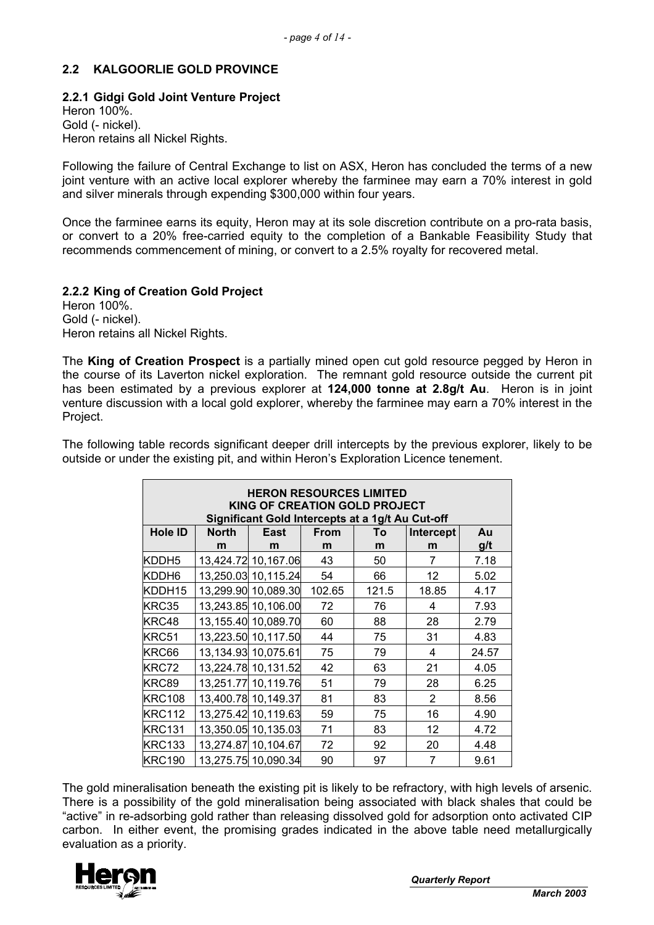# **2.2 KALGOORLIE GOLD PROVINCE**

### **2.2.1 Gidgi Gold Joint Venture Project**

Heron 100%. Gold (- nickel). Heron retains all Nickel Rights.

Following the failure of Central Exchange to list on ASX, Heron has concluded the terms of a new joint venture with an active local explorer whereby the farminee may earn a 70% interest in gold and silver minerals through expending \$300,000 within four years.

Once the farminee earns its equity, Heron may at its sole discretion contribute on a pro-rata basis, or convert to a 20% free-carried equity to the completion of a Bankable Feasibility Study that recommends commencement of mining, or convert to a 2.5% royalty for recovered metal.

### **2.2.2 King of Creation Gold Project**

Heron 100%. Gold (- nickel). Heron retains all Nickel Rights.

The **King of Creation Prospect** is a partially mined open cut gold resource pegged by Heron in the course of its Laverton nickel exploration. The remnant gold resource outside the current pit has been estimated by a previous explorer at **124,000 tonne at 2.8g/t Au**. Heron is in joint venture discussion with a local gold explorer, whereby the farminee may earn a 70% interest in the Project.

The following table records significant deeper drill intercepts by the previous explorer, likely to be outside or under the existing pit, and within Heron's Exploration Licence tenement.

| <b>HERON RESOURCES LIMITED</b><br>KING OF CREATION GOLD PROJECT<br>Significant Gold Intercepts at a 1g/t Au Cut-off |       |                     |        |       |                |       |
|---------------------------------------------------------------------------------------------------------------------|-------|---------------------|--------|-------|----------------|-------|
| <b>Hole ID</b>                                                                                                      | North | East                | From   | To    | Intercept      | Au    |
|                                                                                                                     | m     | m                   | m      | m     | m              | g/t   |
| KDDH <sub>5</sub>                                                                                                   |       | 13,424.72 10,167.06 | 43     | 50    | 7              | 7.18  |
| KDDH6                                                                                                               |       | 13,250.03 10,115.24 | 54     | 66    | 12             | 5.02  |
| KDDH15                                                                                                              |       | 13,299.90 10,089.30 | 102.65 | 121.5 | 18.85          | 4.17  |
| KRC35                                                                                                               |       | 13,243.85 10,106.00 | 72     | 76    | 4              | 7.93  |
| KRC48                                                                                                               |       | 13,155.40 10,089.70 | 60     | 88    | 28             | 2.79  |
| KRC51                                                                                                               |       | 13,223.50 10,117.50 | 44     | 75    | 31             | 4.83  |
| KRC66                                                                                                               |       | 13,134.93 10,075.61 | 75     | 79    | 4              | 24.57 |
| KRC72                                                                                                               |       | 13,224.78 10,131.52 | 42     | 63    | 21             | 4.05  |
| KRC89                                                                                                               |       | 13,251.77 10,119.76 | 51     | 79    | 28             | 6.25  |
| <b>KRC108</b>                                                                                                       |       | 13,400.78 10,149.37 | 81     | 83    | $\overline{2}$ | 8.56  |
| <b>KRC112</b>                                                                                                       |       | 13,275.42 10,119.63 | 59     | 75    | 16             | 4.90  |
| <b>KRC131</b>                                                                                                       |       | 13,350.05 10,135.03 | 71     | 83    | 12             | 4.72  |
| <b>KRC133</b>                                                                                                       |       | 13,274.87 10,104.67 | 72     | 92    | 20             | 4.48  |
| <b>KRC190</b>                                                                                                       |       | 13,275.75 10,090.34 | 90     | 97    | 7              | 9.61  |

The gold mineralisation beneath the existing pit is likely to be refractory, with high levels of arsenic. There is a possibility of the gold mineralisation being associated with black shales that could be "active" in re-adsorbing gold rather than releasing dissolved gold for adsorption onto activated CIP carbon. In either event, the promising grades indicated in the above table need metallurgically evaluation as a priority.

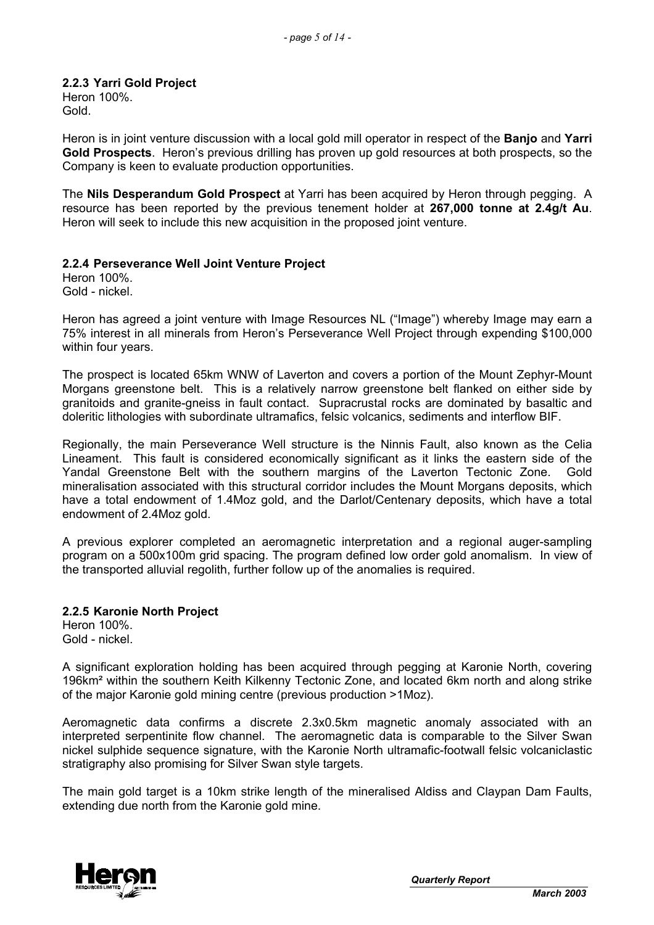# **2.2.3 Yarri Gold Project**  Heron 100%.

Gold.

Heron is in joint venture discussion with a local gold mill operator in respect of the **Banjo** and **Yarri Gold Prospects**. Heron's previous drilling has proven up gold resources at both prospects, so the Company is keen to evaluate production opportunities.

The **Nils Desperandum Gold Prospect** at Yarri has been acquired by Heron through pegging. A resource has been reported by the previous tenement holder at **267,000 tonne at 2.4g/t Au**. Heron will seek to include this new acquisition in the proposed joint venture.

### **2.2.4 Perseverance Well Joint Venture Project**

Heron 100%. Gold - nickel.

Heron has agreed a joint venture with Image Resources NL ("Image") whereby Image may earn a 75% interest in all minerals from Heron's Perseverance Well Project through expending \$100,000 within four years.

The prospect is located 65km WNW of Laverton and covers a portion of the Mount Zephyr-Mount Morgans greenstone belt. This is a relatively narrow greenstone belt flanked on either side by granitoids and granite-gneiss in fault contact. Supracrustal rocks are dominated by basaltic and doleritic lithologies with subordinate ultramafics, felsic volcanics, sediments and interflow BIF.

Regionally, the main Perseverance Well structure is the Ninnis Fault, also known as the Celia Lineament. This fault is considered economically significant as it links the eastern side of the Yandal Greenstone Belt with the southern margins of the Laverton Tectonic Zone. Gold mineralisation associated with this structural corridor includes the Mount Morgans deposits, which have a total endowment of 1.4Moz gold, and the Darlot/Centenary deposits, which have a total endowment of 2.4Moz gold.

A previous explorer completed an aeromagnetic interpretation and a regional auger-sampling program on a 500x100m grid spacing. The program defined low order gold anomalism. In view of the transported alluvial regolith, further follow up of the anomalies is required.

### **2.2.5 Karonie North Project**

Heron 100%. Gold - nickel.

A significant exploration holding has been acquired through pegging at Karonie North, covering 196km² within the southern Keith Kilkenny Tectonic Zone, and located 6km north and along strike of the major Karonie gold mining centre (previous production >1Moz).

Aeromagnetic data confirms a discrete 2.3x0.5km magnetic anomaly associated with an interpreted serpentinite flow channel. The aeromagnetic data is comparable to the Silver Swan nickel sulphide sequence signature, with the Karonie North ultramafic-footwall felsic volcaniclastic stratigraphy also promising for Silver Swan style targets.

The main gold target is a 10km strike length of the mineralised Aldiss and Claypan Dam Faults, extending due north from the Karonie gold mine.

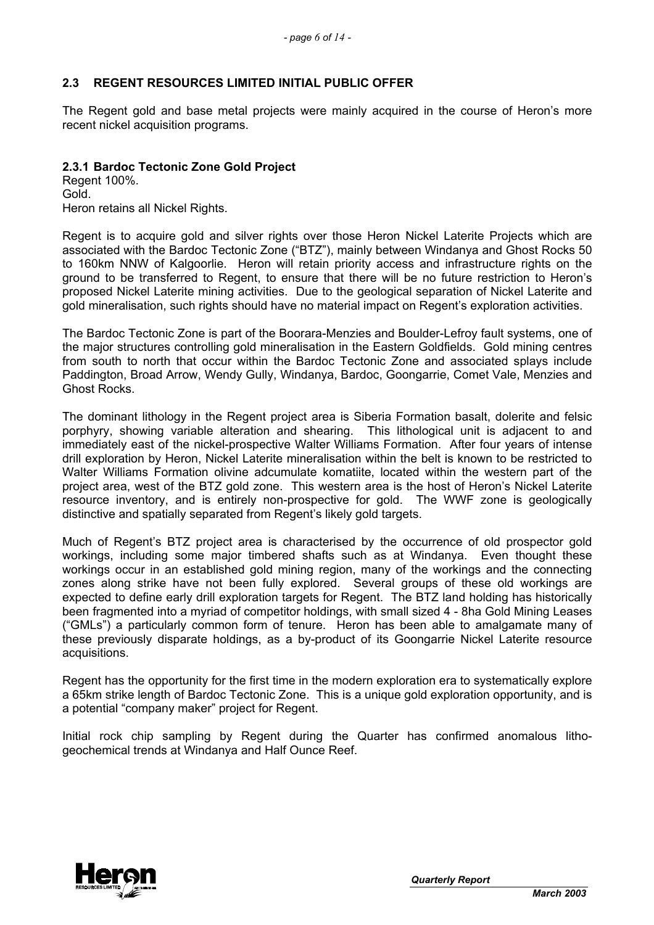# **2.3 REGENT RESOURCES LIMITED INITIAL PUBLIC OFFER**

The Regent gold and base metal projects were mainly acquired in the course of Heron's more recent nickel acquisition programs.

### **2.3.1 Bardoc Tectonic Zone Gold Project**

Regent 100%. Gold. Heron retains all Nickel Rights.

Regent is to acquire gold and silver rights over those Heron Nickel Laterite Projects which are associated with the Bardoc Tectonic Zone ("BTZ"), mainly between Windanya and Ghost Rocks 50 to 160km NNW of Kalgoorlie. Heron will retain priority access and infrastructure rights on the ground to be transferred to Regent, to ensure that there will be no future restriction to Heron's proposed Nickel Laterite mining activities. Due to the geological separation of Nickel Laterite and gold mineralisation, such rights should have no material impact on Regent's exploration activities.

The Bardoc Tectonic Zone is part of the Boorara-Menzies and Boulder-Lefroy fault systems, one of the major structures controlling gold mineralisation in the Eastern Goldfields. Gold mining centres from south to north that occur within the Bardoc Tectonic Zone and associated splays include Paddington, Broad Arrow, Wendy Gully, Windanya, Bardoc, Goongarrie, Comet Vale, Menzies and Ghost Rocks.

The dominant lithology in the Regent project area is Siberia Formation basalt, dolerite and felsic porphyry, showing variable alteration and shearing. This lithological unit is adjacent to and immediately east of the nickel-prospective Walter Williams Formation. After four years of intense drill exploration by Heron, Nickel Laterite mineralisation within the belt is known to be restricted to Walter Williams Formation olivine adcumulate komatiite, located within the western part of the project area, west of the BTZ gold zone. This western area is the host of Heron's Nickel Laterite resource inventory, and is entirely non-prospective for gold. The WWF zone is geologically distinctive and spatially separated from Regent's likely gold targets.

Much of Regent's BTZ project area is characterised by the occurrence of old prospector gold workings, including some major timbered shafts such as at Windanya. Even thought these workings occur in an established gold mining region, many of the workings and the connecting zones along strike have not been fully explored. Several groups of these old workings are expected to define early drill exploration targets for Regent. The BTZ land holding has historically been fragmented into a myriad of competitor holdings, with small sized 4 - 8ha Gold Mining Leases ("GMLs") a particularly common form of tenure. Heron has been able to amalgamate many of these previously disparate holdings, as a by-product of its Goongarrie Nickel Laterite resource acquisitions.

Regent has the opportunity for the first time in the modern exploration era to systematically explore a 65km strike length of Bardoc Tectonic Zone. This is a unique gold exploration opportunity, and is a potential "company maker" project for Regent.

Initial rock chip sampling by Regent during the Quarter has confirmed anomalous lithogeochemical trends at Windanya and Half Ounce Reef.

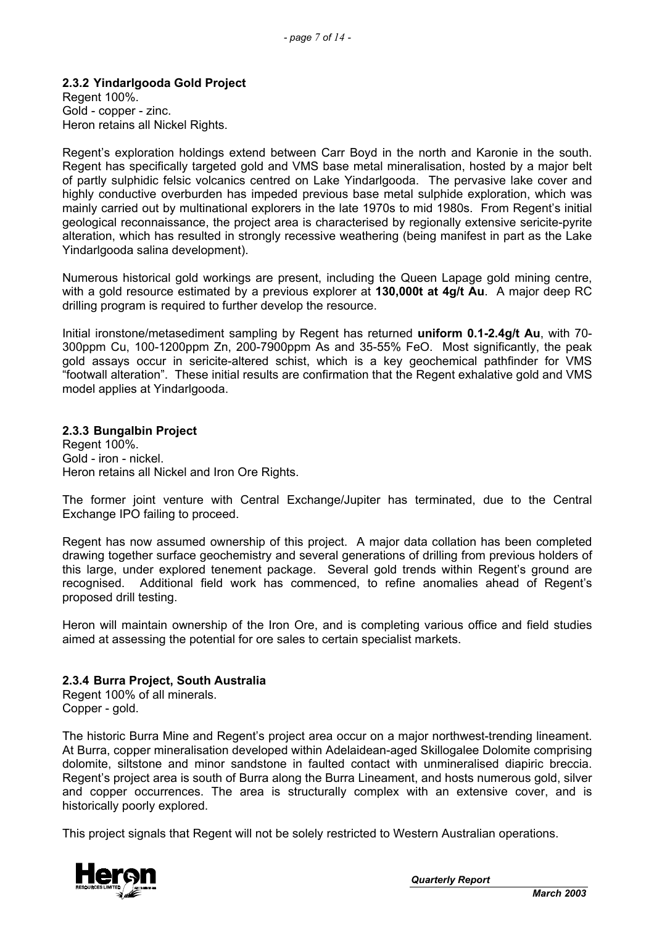### **2.3.2 Yindarlgooda Gold Project**

Regent 100%. Gold - copper - zinc. Heron retains all Nickel Rights.

Regent's exploration holdings extend between Carr Boyd in the north and Karonie in the south. Regent has specifically targeted gold and VMS base metal mineralisation, hosted by a major belt of partly sulphidic felsic volcanics centred on Lake Yindarlgooda. The pervasive lake cover and highly conductive overburden has impeded previous base metal sulphide exploration, which was mainly carried out by multinational explorers in the late 1970s to mid 1980s. From Regent's initial geological reconnaissance, the project area is characterised by regionally extensive sericite-pyrite alteration, which has resulted in strongly recessive weathering (being manifest in part as the Lake Yindarlgooda salina development).

Numerous historical gold workings are present, including the Queen Lapage gold mining centre, with a gold resource estimated by a previous explorer at **130,000t at 4g/t Au**. A major deep RC drilling program is required to further develop the resource.

Initial ironstone/metasediment sampling by Regent has returned **uniform 0.1-2.4g/t Au**, with 70- 300ppm Cu, 100-1200ppm Zn, 200-7900ppm As and 35-55% FeO. Most significantly, the peak gold assays occur in sericite-altered schist, which is a key geochemical pathfinder for VMS "footwall alteration". These initial results are confirmation that the Regent exhalative gold and VMS model applies at Yindarlgooda.

### **2.3.3 Bungalbin Project**

Regent 100%. Gold - iron - nickel. Heron retains all Nickel and Iron Ore Rights.

The former joint venture with Central Exchange/Jupiter has terminated, due to the Central Exchange IPO failing to proceed.

Regent has now assumed ownership of this project. A major data collation has been completed drawing together surface geochemistry and several generations of drilling from previous holders of this large, under explored tenement package. Several gold trends within Regent's ground are recognised. Additional field work has commenced, to refine anomalies ahead of Regent's proposed drill testing.

Heron will maintain ownership of the Iron Ore, and is completing various office and field studies aimed at assessing the potential for ore sales to certain specialist markets.

### **2.3.4 Burra Project, South Australia**

Regent 100% of all minerals. Copper - gold.

The historic Burra Mine and Regent's project area occur on a major northwest-trending lineament. At Burra, copper mineralisation developed within Adelaidean-aged Skillogalee Dolomite comprising dolomite, siltstone and minor sandstone in faulted contact with unmineralised diapiric breccia. Regent's project area is south of Burra along the Burra Lineament, and hosts numerous gold, silver and copper occurrences. The area is structurally complex with an extensive cover, and is historically poorly explored.

This project signals that Regent will not be solely restricted to Western Australian operations.

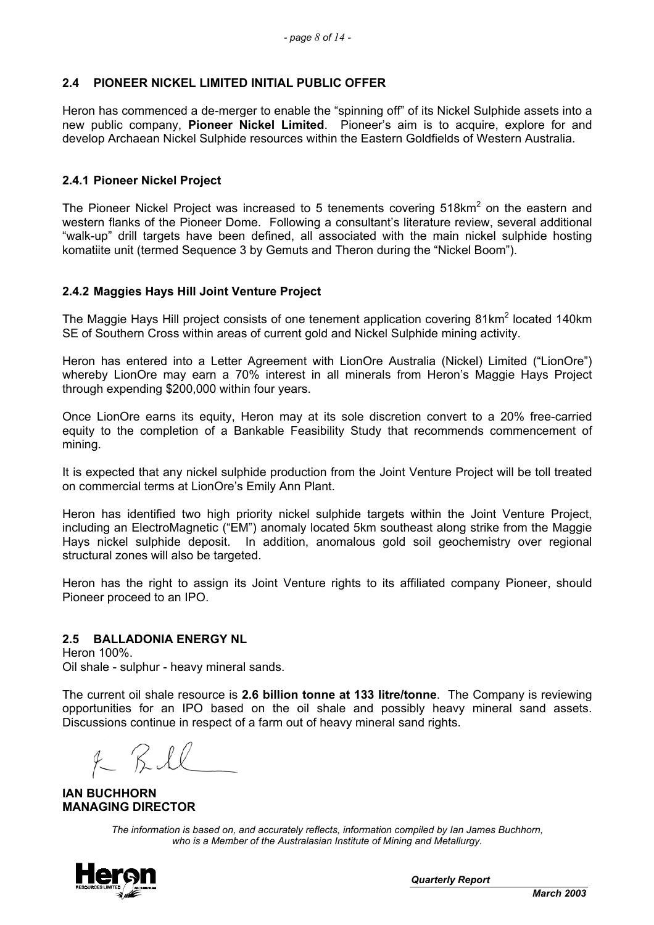# **2.4 PIONEER NICKEL LIMITED INITIAL PUBLIC OFFER**

Heron has commenced a de-merger to enable the "spinning off" of its Nickel Sulphide assets into a new public company, **Pioneer Nickel Limited**. Pioneer's aim is to acquire, explore for and develop Archaean Nickel Sulphide resources within the Eastern Goldfields of Western Australia.

### **2.4.1 Pioneer Nickel Project**

The Pioneer Nickel Project was increased to 5 tenements covering 518 $km<sup>2</sup>$  on the eastern and western flanks of the Pioneer Dome. Following a consultant's literature review, several additional "walk-up" drill targets have been defined, all associated with the main nickel sulphide hosting komatiite unit (termed Sequence 3 by Gemuts and Theron during the "Nickel Boom").

## **2.4.2 Maggies Hays Hill Joint Venture Project**

The Maggie Hays Hill project consists of one tenement application covering 81km<sup>2</sup> located 140km SE of Southern Cross within areas of current gold and Nickel Sulphide mining activity.

Heron has entered into a Letter Agreement with LionOre Australia (Nickel) Limited ("LionOre") whereby LionOre may earn a 70% interest in all minerals from Heron's Maggie Hays Project through expending \$200,000 within four years.

Once LionOre earns its equity, Heron may at its sole discretion convert to a 20% free-carried equity to the completion of a Bankable Feasibility Study that recommends commencement of mining.

It is expected that any nickel sulphide production from the Joint Venture Project will be toll treated on commercial terms at LionOre's Emily Ann Plant.

Heron has identified two high priority nickel sulphide targets within the Joint Venture Project, including an ElectroMagnetic ("EM") anomaly located 5km southeast along strike from the Maggie Hays nickel sulphide deposit. In addition, anomalous gold soil geochemistry over regional structural zones will also be targeted.

Heron has the right to assign its Joint Venture rights to its affiliated company Pioneer, should Pioneer proceed to an IPO.

### **2.5 BALLADONIA ENERGY NL**

Heron 100%. Oil shale - sulphur - heavy mineral sands.

The current oil shale resource is **2.6 billion tonne at 133 litre/tonne**. The Company is reviewing opportunities for an IPO based on the oil shale and possibly heavy mineral sand assets. Discussions continue in respect of a farm out of heavy mineral sand rights.

**IAN BUCHHORN MANAGING DIRECTOR** 

*The information is based on, and accurately reflects, information compiled by Ian James Buchhorn, who is a Member of the Australasian Institute of Mining and Metallurgy.* 



*Quarterly Report*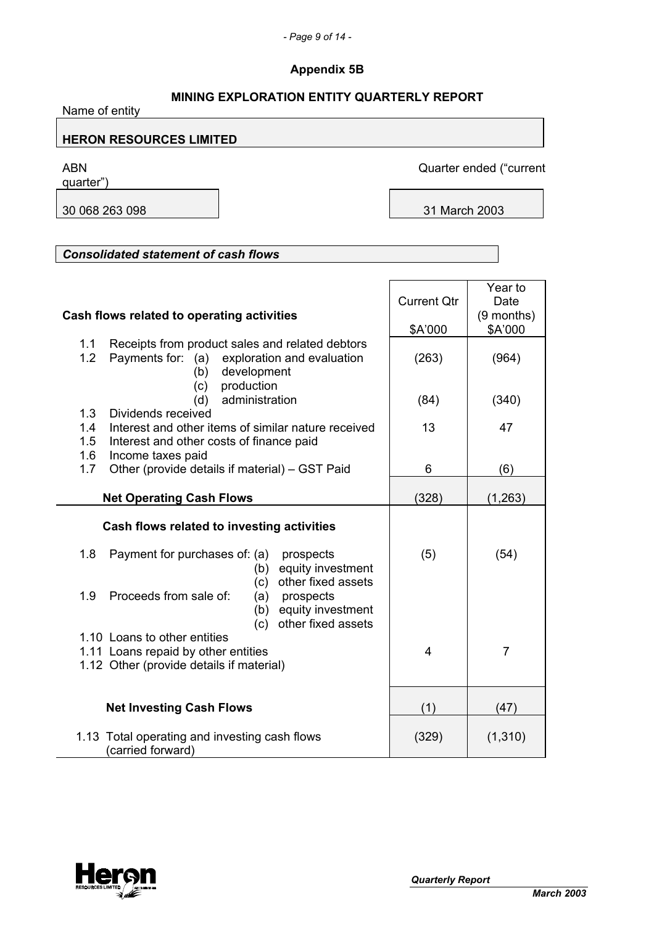# **Appendix 5B**

# **MINING EXPLORATION ENTITY QUARTERLY REPORT**

Name of entity

# **HERON RESOURCES LIMITED**

quarter")

ABN Quarter ended ("current

30 068 263 098 31 March 2003

# *Consolidated statement of cash flows*

|                                                            |                    | Year to        |
|------------------------------------------------------------|--------------------|----------------|
|                                                            | <b>Current Qtr</b> | Date           |
| Cash flows related to operating activities                 |                    | (9 months)     |
|                                                            | \$A'000            | \$A'000        |
| Receipts from product sales and related debtors<br>1.1     |                    |                |
| 1.2<br>Payments for: (a) exploration and evaluation        | (263)              | (964)          |
| development<br>(b)                                         |                    |                |
| production<br>(c)                                          |                    |                |
| administration<br>(d)                                      | (84)               | (340)          |
| 1.3<br>Dividends received                                  |                    |                |
| Interest and other items of similar nature received<br>1.4 | 13                 | 47             |
| 1.5<br>Interest and other costs of finance paid            |                    |                |
| 1.6<br>Income taxes paid                                   |                    |                |
| Other (provide details if material) - GST Paid<br>1.7      | 6                  | (6)            |
|                                                            |                    |                |
| <b>Net Operating Cash Flows</b>                            | (328)              | (1, 263)       |
|                                                            |                    |                |
| Cash flows related to investing activities                 |                    |                |
| 1.8<br>Payment for purchases of: (a)<br>prospects          | (5)                | (54)           |
| equity investment<br>(b)                                   |                    |                |
| other fixed assets<br>(c)                                  |                    |                |
| 1.9<br>Proceeds from sale of:<br>(a)<br>prospects          |                    |                |
| equity investment<br>(b)                                   |                    |                |
| other fixed assets<br>(c)                                  |                    |                |
| 1.10 Loans to other entities                               |                    |                |
| 1.11 Loans repaid by other entities                        | $\overline{4}$     | $\overline{7}$ |
| 1.12 Other (provide details if material)                   |                    |                |
|                                                            |                    |                |
| <b>Net Investing Cash Flows</b>                            | (1)                | (47)           |
|                                                            |                    |                |
| 1.13 Total operating and investing cash flows              | (329)              | (1, 310)       |
| (carried forward)                                          |                    |                |

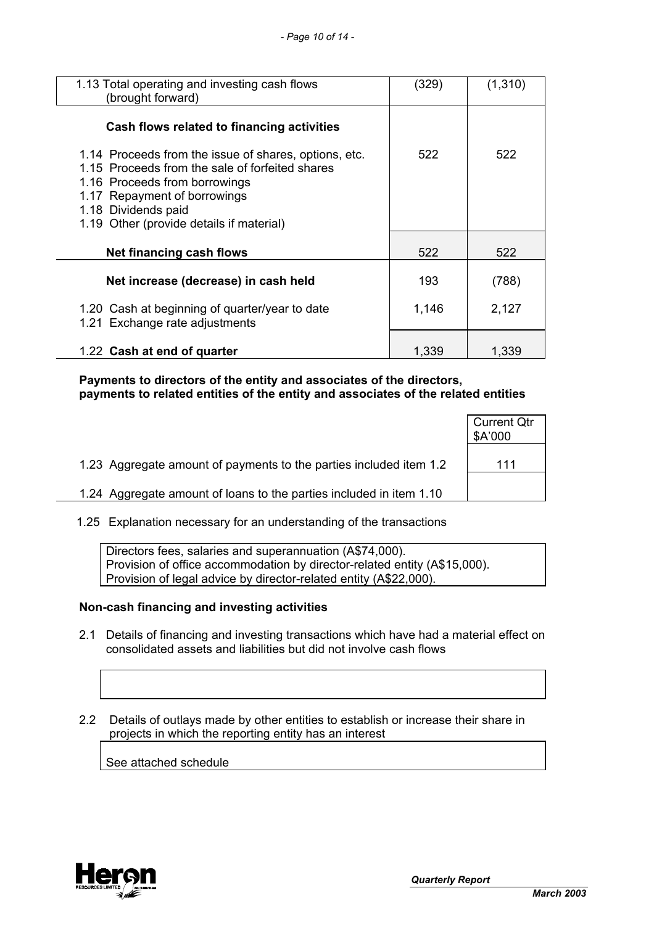| 1.13 Total operating and investing cash flows<br>(brought forward)                                                                                                                                                                           | (329) | (1,310) |
|----------------------------------------------------------------------------------------------------------------------------------------------------------------------------------------------------------------------------------------------|-------|---------|
| Cash flows related to financing activities                                                                                                                                                                                                   |       |         |
| 1.14 Proceeds from the issue of shares, options, etc.<br>1.15 Proceeds from the sale of forfeited shares<br>1.16 Proceeds from borrowings<br>1.17 Repayment of borrowings<br>1.18 Dividends paid<br>1.19 Other (provide details if material) | 522   | 522     |
| Net financing cash flows                                                                                                                                                                                                                     | 522   | 522     |
| Net increase (decrease) in cash held                                                                                                                                                                                                         | 193   | (788)   |
| 1.20 Cash at beginning of quarter/year to date<br>1.21 Exchange rate adjustments                                                                                                                                                             | 1,146 | 2,127   |
| 1.22 Cash at end of quarter                                                                                                                                                                                                                  | 1,339 | 1,339   |

 **Payments to directors of the entity and associates of the directors, payments to related entities of the entity and associates of the related entities** 

|                                                                     | <b>Current Qtr</b><br>\$A'000 |
|---------------------------------------------------------------------|-------------------------------|
| 1.23 Aggregate amount of payments to the parties included item 1.2  | 111                           |
| 1.24 Aggregate amount of loans to the parties included in item 1.10 |                               |

1.25 Explanation necessary for an understanding of the transactions

Directors fees, salaries and superannuation (A\$74,000). Provision of office accommodation by director-related entity (A\$15,000). Provision of legal advice by director-related entity (A\$22,000).

### **Non-cash financing and investing activities**

- 2.1 Details of financing and investing transactions which have had a material effect on consolidated assets and liabilities but did not involve cash flows
- 2.2 Details of outlays made by other entities to establish or increase their share in projects in which the reporting entity has an interest

See attached schedule

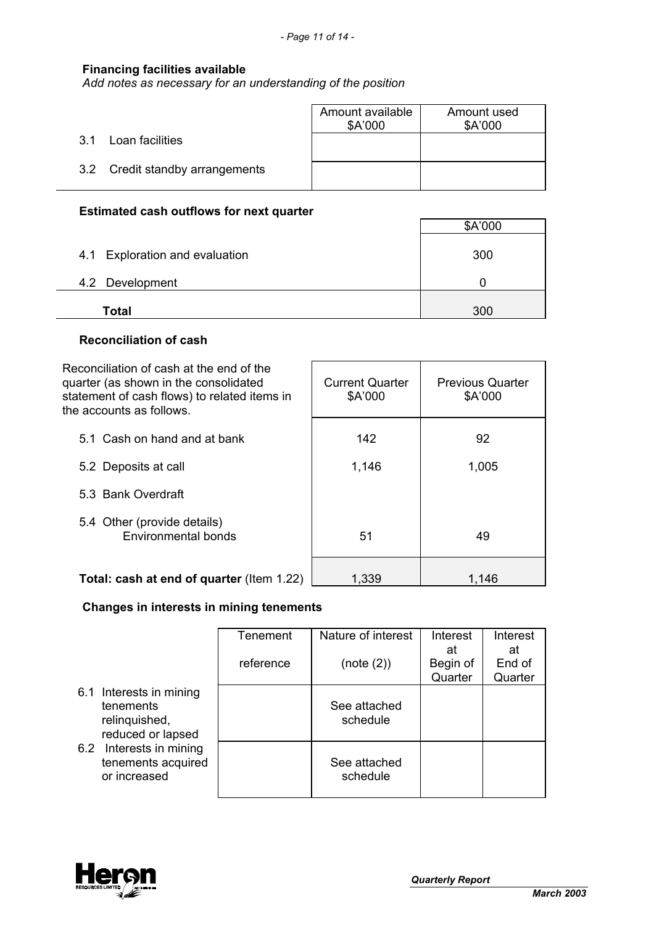# **Financing facilities available**

*Add notes as necessary for an understanding of the position*

|                                 | Amount available<br>\$A'000 | Amount used<br>\$A'000 |
|---------------------------------|-----------------------------|------------------------|
| Loan facilities<br>.3.1         |                             |                        |
| 3.2 Credit standby arrangements |                             |                        |

# **Estimated cash outflows for next quarter**

|                                | \$A'000 |
|--------------------------------|---------|
| 4.1 Exploration and evaluation | 300     |
| 4.2 Development                |         |
| Total                          | 300     |

 $\mathbf{r}$ 

#### **Reconciliation of cash**

| Reconciliation of cash at the end of the<br>quarter (as shown in the consolidated<br>statement of cash flows) to related items in<br>the accounts as follows. | <b>Current Quarter</b><br>\$A'000 | <b>Previous Quarter</b><br>\$A'000 |
|---------------------------------------------------------------------------------------------------------------------------------------------------------------|-----------------------------------|------------------------------------|
| 5.1 Cash on hand and at bank                                                                                                                                  | 142                               | 92                                 |
| 5.2 Deposits at call                                                                                                                                          | 1,146                             | 1,005                              |
| 5.3 Bank Overdraft                                                                                                                                            |                                   |                                    |
| 5.4 Other (provide details)<br>Environmental bonds                                                                                                            | 51                                | 49                                 |
| Total: cash at end of quarter (Item 1.22)                                                                                                                     | 1,339                             | 1.146                              |

# **Changes in interests in mining tenements**

|     |                                                                            | <b>Tenement</b> | Nature of interest       | Interest<br>at      | Interest<br>at    |
|-----|----------------------------------------------------------------------------|-----------------|--------------------------|---------------------|-------------------|
|     |                                                                            | reference       | (note (2))               | Begin of<br>Quarter | End of<br>Quarter |
|     | 6.1 Interests in mining<br>tenements<br>relinquished,<br>reduced or lapsed |                 | See attached<br>schedule |                     |                   |
| 6.2 | Interests in mining<br>tenements acquired<br>or increased                  |                 | See attached<br>schedule |                     |                   |

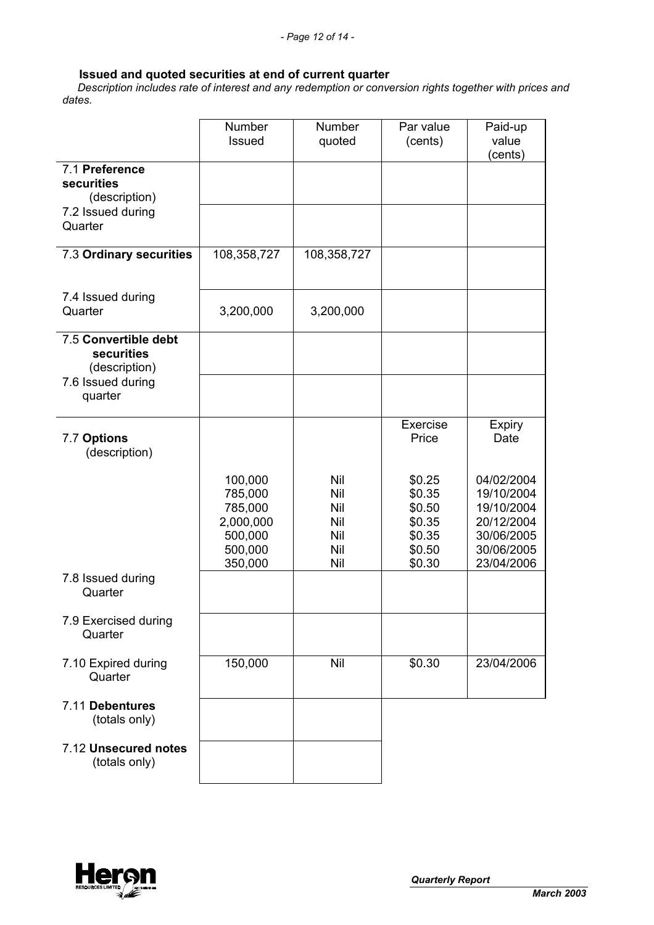# **Issued and quoted securities at end of current quarter**

 *Description includes rate of interest and any redemption or conversion rights together with prices and dates.* 

|                                                            | Number<br><b>Issued</b>                                                     | Number<br>quoted                              | Par value<br>(cents)                                               | Paid-up<br>value<br>(cents)                                                                    |
|------------------------------------------------------------|-----------------------------------------------------------------------------|-----------------------------------------------|--------------------------------------------------------------------|------------------------------------------------------------------------------------------------|
| 7.1 Preference<br>securities<br>(description)              |                                                                             |                                               |                                                                    |                                                                                                |
| 7.2 Issued during<br>Quarter                               |                                                                             |                                               |                                                                    |                                                                                                |
| 7.3 Ordinary securities                                    | 108,358,727                                                                 | 108,358,727                                   |                                                                    |                                                                                                |
| 7.4 Issued during<br>Quarter                               | 3,200,000                                                                   | 3,200,000                                     |                                                                    |                                                                                                |
| 7.5 Convertible debt<br><b>securities</b><br>(description) |                                                                             |                                               |                                                                    |                                                                                                |
| 7.6 Issued during<br>quarter                               |                                                                             |                                               |                                                                    |                                                                                                |
| 7.7 Options<br>(description)                               |                                                                             |                                               | Exercise<br>Price                                                  | <b>Expiry</b><br>Date                                                                          |
|                                                            | 100,000<br>785,000<br>785,000<br>2,000,000<br>500,000<br>500,000<br>350,000 | Nil<br>Nil<br>Nil<br>Nil<br>Nil<br>Nil<br>Nil | \$0.25<br>\$0.35<br>\$0.50<br>\$0.35<br>\$0.35<br>\$0.50<br>\$0.30 | 04/02/2004<br>19/10/2004<br>19/10/2004<br>20/12/2004<br>30/06/2005<br>30/06/2005<br>23/04/2006 |
| 7.8 Issued during<br>Quarter                               |                                                                             |                                               |                                                                    |                                                                                                |
| 7.9 Exercised during<br>Quarter                            |                                                                             |                                               |                                                                    |                                                                                                |
| 7.10 Expired during<br>Quarter                             | 150,000                                                                     | Nil                                           | \$0.30                                                             | 23/04/2006                                                                                     |
| 7.11 Debentures<br>(totals only)                           |                                                                             |                                               |                                                                    |                                                                                                |
| 7.12 Unsecured notes<br>(totals only)                      |                                                                             |                                               |                                                                    |                                                                                                |

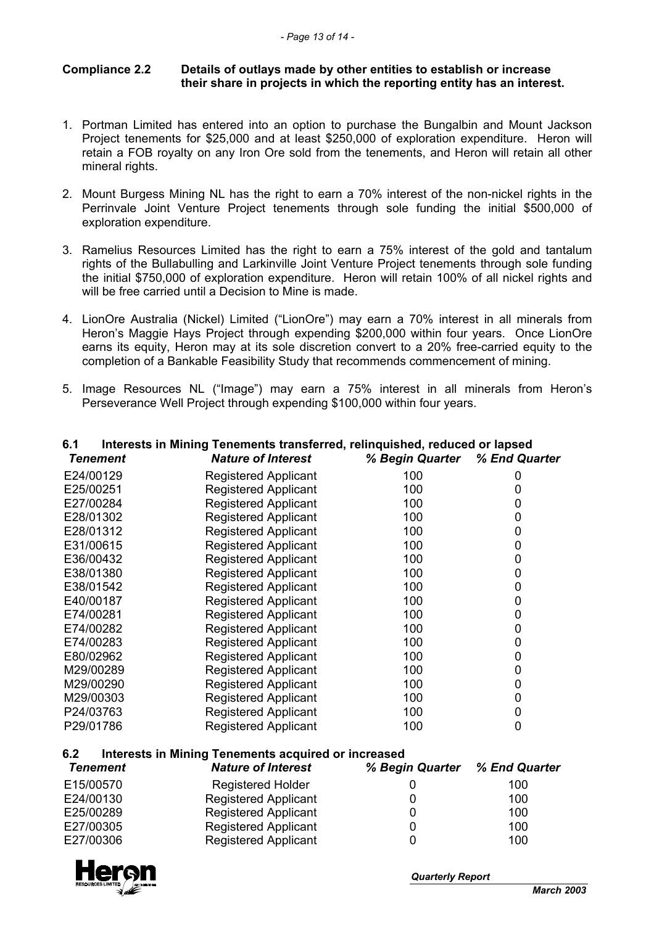### **Compliance 2.2 Details of outlays made by other entities to establish or increase their share in projects in which the reporting entity has an interest.**

- 1. Portman Limited has entered into an option to purchase the Bungalbin and Mount Jackson Project tenements for \$25,000 and at least \$250,000 of exploration expenditure. Heron will retain a FOB royalty on any Iron Ore sold from the tenements, and Heron will retain all other mineral rights.
- 2. Mount Burgess Mining NL has the right to earn a 70% interest of the non-nickel rights in the Perrinvale Joint Venture Project tenements through sole funding the initial \$500,000 of exploration expenditure.
- 3. Ramelius Resources Limited has the right to earn a 75% interest of the gold and tantalum rights of the Bullabulling and Larkinville Joint Venture Project tenements through sole funding the initial \$750,000 of exploration expenditure. Heron will retain 100% of all nickel rights and will be free carried until a Decision to Mine is made.
- 4. LionOre Australia (Nickel) Limited ("LionOre") may earn a 70% interest in all minerals from Heron's Maggie Hays Project through expending \$200,000 within four years. Once LionOre earns its equity, Heron may at its sole discretion convert to a 20% free-carried equity to the completion of a Bankable Feasibility Study that recommends commencement of mining.
- 5. Image Resources NL ("Image") may earn a 75% interest in all minerals from Heron's Perseverance Well Project through expending \$100,000 within four years.

| 6.1       | Interests in Mining Tenements transferred, relinquished, reduced or lapsed |                               |   |
|-----------|----------------------------------------------------------------------------|-------------------------------|---|
| Tenement  | <b>Nature of Interest</b>                                                  | % Begin Quarter % End Quarter |   |
| E24/00129 | Registered Applicant                                                       | 100                           |   |
| E25/00251 | <b>Registered Applicant</b>                                                | 100                           |   |
| E27/00284 | <b>Registered Applicant</b>                                                | 100                           | O |
| E28/01302 | <b>Registered Applicant</b>                                                | 100                           |   |
| E28/01312 | <b>Registered Applicant</b>                                                | 100                           | O |
| E31/00615 | <b>Registered Applicant</b>                                                | 100                           |   |
| E36/00432 | <b>Registered Applicant</b>                                                | 100                           | 0 |
| E38/01380 | <b>Registered Applicant</b>                                                | 100                           |   |
| E38/01542 | <b>Registered Applicant</b>                                                | 100                           | 0 |
| E40/00187 | <b>Registered Applicant</b>                                                | 100                           |   |
| E74/00281 | <b>Registered Applicant</b>                                                | 100                           | 0 |
| E74/00282 | <b>Registered Applicant</b>                                                | 100                           |   |
| E74/00283 | <b>Registered Applicant</b>                                                | 100                           |   |
| E80/02962 | <b>Registered Applicant</b>                                                | 100                           |   |
| M29/00289 | <b>Registered Applicant</b>                                                | 100                           | 0 |
| M29/00290 | <b>Registered Applicant</b>                                                | 100                           |   |
| M29/00303 | <b>Registered Applicant</b>                                                | 100                           |   |
| P24/03763 | <b>Registered Applicant</b>                                                | 100                           | 0 |
| P29/01786 | <b>Registered Applicant</b>                                                | 100                           | 0 |

# **6.2 Interests in Mining Tenements acquired or increased**

| <b>Tenement</b> | <b>Nature of Interest</b>   | % Begin Quarter % End Quarter |     |
|-----------------|-----------------------------|-------------------------------|-----|
| E15/00570       | <b>Registered Holder</b>    |                               | 100 |
| E24/00130       | <b>Registered Applicant</b> |                               | 100 |
| E25/00289       | <b>Registered Applicant</b> |                               | 100 |
| E27/00305       | <b>Registered Applicant</b> |                               | 100 |
| E27/00306       | <b>Registered Applicant</b> |                               | 100 |